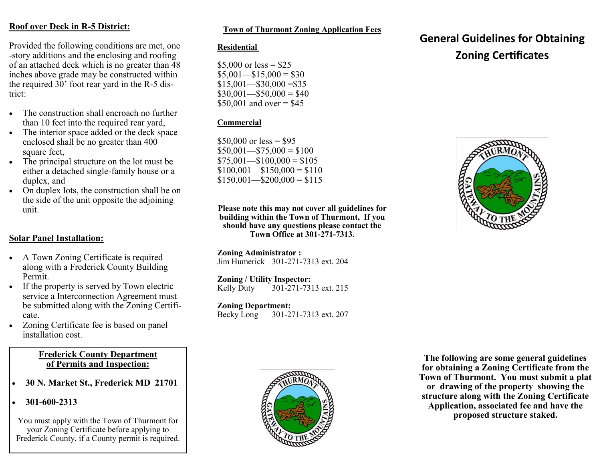## **Roof over Deck in R-5 District:**

Provided the following conditions are met, one -story additions and the enclosing and roofing of an attached deck which is no greater than 48 inches above grade may be constructed within the required 30' foot rear yard in the R-5 district:

- The construction shall encroach no further than 10 feet into the required rear yard,
- The interior space added or the deck space enclosed shall be no greater than 400 square feet,
- The principal structure on the lot must be either a detached single-family house or a duplex, and
- On duplex lots, the construction shall be on the side of the unit opposite the adjoining unit.

## **Solar Panel Installation:**

- A Town Zoning Certificate is required along with a Frederick County Building Permit.
- If the property is served by Town electric service a Interconnection Agreement must be submitted along with the Zoning Certificate.
- Zoning Certificate fee is based on panel installation cost.

#### **Frederick County Department of Permits and Inspection:**

- **30 N. Market St., Frederick MD 21701**
- **301-600-2313**

You must apply with the Town of Thurmont for your Zoning Certificate before applying to Frederick County, if a County permit is required.

### **Town of Thurmont Zoning Application Fees**

### **Residential**

\$5,000 or  $less = $25$  $$5,001$  - \$15,000 = \$30  $$15,001$  - \$30,000 = \$35  $$30,001$  - \$50,000 = \$40  $$50,001$  and over  $= $45$ 

### **Commercial**

 $$50,000$  or less = \$95  $$50,001$  - \$75,000 = \$100  $$75,001$  - \$100,000 = \$105  $$100,001$  - \$150,000 = \$110  $$150,001$  - \$200,000 = \$115

**Please note this may not cover all guidelines for building within the Town of Thurmont, If you should have any questions please contact the Town Office at 301-271-7313.**

**Zoning Administrator :** Jim Humerick 301-271-7313 ext. 204

**Zoning / Utility Inspector:**<br>Kelly Duty 301-271-73 301-271-7313 ext. 215

**Zoning Department:**  Becky Long 301-271-7313 ext. 207



# **General Guidelines for Obtaining Zoning Certificates**



**The following are some general guidelines for obtaining a Zoning Certificate from the Town of Thurmont. You must submit a plat or drawing of the property showing the structure along with the Zoning Certificate Application, associated fee and have the proposed structure staked.**